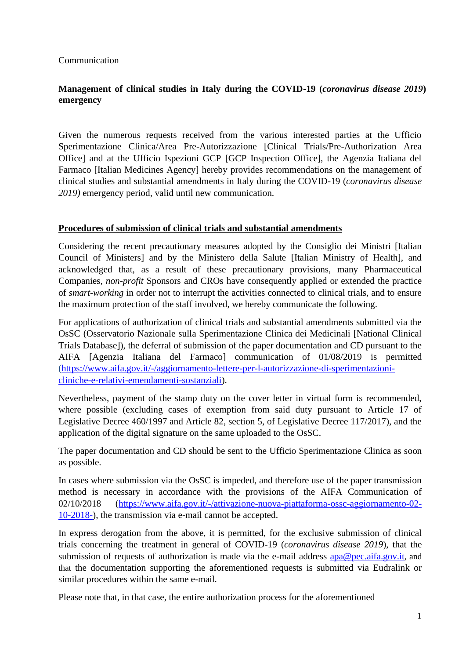### Communication

# **Management of clinical studies in Italy during the COVID-19 (***coronavirus disease 2019***) emergency**

Given the numerous requests received from the various interested parties at the Ufficio Sperimentazione Clinica/Area Pre-Autorizzazione [Clinical Trials/Pre-Authorization Area Office] and at the Ufficio Ispezioni GCP [GCP Inspection Office], the Agenzia Italiana del Farmaco [Italian Medicines Agency] hereby provides recommendations on the management of clinical studies and substantial amendments in Italy during the COVID-19 (*coronavirus disease 2019)* emergency period, valid until new communication.

### **Procedures of submission of clinical trials and substantial amendments**

Considering the recent precautionary measures adopted by the Consiglio dei Ministri [Italian Council of Ministers] and by the Ministero della Salute [Italian Ministry of Health], and acknowledged that, as a result of these precautionary provisions, many Pharmaceutical Companies, *non-profit* Sponsors and CROs have consequently applied or extended the practice of *smart-working* in order not to interrupt the activities connected to clinical trials, and to ensure the maximum protection of the staff involved, we hereby communicate the following.

For applications of authorization of clinical trials and substantial amendments submitted via the OsSC (Osservatorio Nazionale sulla Sperimentazione Clinica dei Medicinali [National Clinical Trials Database]), the deferral of submission of the paper documentation and CD pursuant to the AIFA [Agenzia Italiana del Farmaco] communication of 01/08/2019 is permitted [\(https://www.aifa.gov.it/-/aggiornamento-lettere-per-l-autorizzazione-di-sperimentazioni](https://www.aifa.gov.it/-/aggiornamento-lettere-per-l-autorizzazione-di-sperimentazioni-cliniche-e-relativi-emendamenti-sostanziali)[cliniche-e-relativi-emendamenti-sostanziali\)](https://www.aifa.gov.it/-/aggiornamento-lettere-per-l-autorizzazione-di-sperimentazioni-cliniche-e-relativi-emendamenti-sostanziali).

Nevertheless, payment of the stamp duty on the cover letter in virtual form is recommended, where possible (excluding cases of exemption from said duty pursuant to Article 17 of Legislative Decree 460/1997 and Article 82, section 5, of Legislative Decree 117/2017), and the application of the digital signature on the same uploaded to the OsSC.

The paper documentation and CD should be sent to the Ufficio Sperimentazione Clinica as soon as possible.

In cases where submission via the OsSC is impeded, and therefore use of the paper transmission method is necessary in accordance with the provisions of the AIFA Communication of 02/10/2018 [\(https://www.aifa.gov.it/-/attivazione-nuova-piattaforma-ossc-aggiornamento-02-](https://www.aifa.gov.it/-/attivazione-nuova-piattaforma-ossc-aggiornamento-02-10-2018-) [10-2018-\)](https://www.aifa.gov.it/-/attivazione-nuova-piattaforma-ossc-aggiornamento-02-10-2018-), the transmission via e-mail cannot be accepted.

In express derogation from the above, it is permitted, for the exclusive submission of clinical trials concerning the treatment in general of COVID-19 (*coronavirus disease 2019*), that the submission of requests of authorization is made via the e-mail address [apa@pec.aifa.gov.it](mailto:apa@pec.aifa.gov.it), and that the documentation supporting the aforementioned requests is submitted via Eudralink or similar procedures within the same e-mail.

Please note that, in that case, the entire authorization process for the aforementioned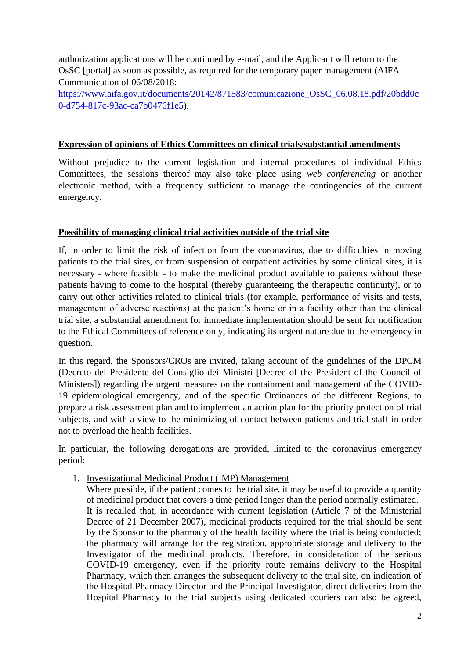authorization applications will be continued by e-mail, and the Applicant will return to the OsSC [portal] as soon as possible, as required for the temporary paper management (AIFA Communication of 06/08/2018:

[https://www.aifa.gov.it/documents/20142/871583/comunicazione\\_OsSC\\_06.08.18.pdf/20bdd0c](https://www.aifa.gov.it/documents/20142/871583/comunicazione_OsSC_06.08.18.pdf/20bdd0c0-d754-817c-93ac-ca7b0476f1e5) [0-d754-817c-93ac-ca7b0476f1e5\)](https://www.aifa.gov.it/documents/20142/871583/comunicazione_OsSC_06.08.18.pdf/20bdd0c0-d754-817c-93ac-ca7b0476f1e5).

## **Expression of opinions of Ethics Committees on clinical trials/substantial amendments**

Without prejudice to the current legislation and internal procedures of individual Ethics Committees, the sessions thereof may also take place using *web conferencing* or another electronic method, with a frequency sufficient to manage the contingencies of the current emergency.

### **Possibility of managing clinical trial activities outside of the trial site**

If, in order to limit the risk of infection from the coronavirus, due to difficulties in moving patients to the trial sites, or from suspension of outpatient activities by some clinical sites, it is necessary - where feasible - to make the medicinal product available to patients without these patients having to come to the hospital (thereby guaranteeing the therapeutic continuity), or to carry out other activities related to clinical trials (for example, performance of visits and tests, management of adverse reactions) at the patient's home or in a facility other than the clinical trial site, a substantial amendment for immediate implementation should be sent for notification to the Ethical Committees of reference only, indicating its urgent nature due to the emergency in question.

In this regard, the Sponsors/CROs are invited, taking account of the guidelines of the DPCM (Decreto del Presidente del Consiglio dei Ministri [Decree of the President of the Council of Ministers]) regarding the urgent measures on the containment and management of the COVID-19 epidemiological emergency, and of the specific Ordinances of the different Regions, to prepare a risk assessment plan and to implement an action plan for the priority protection of trial subjects, and with a view to the minimizing of contact between patients and trial staff in order not to overload the health facilities.

In particular, the following derogations are provided, limited to the coronavirus emergency period:

1. Investigational Medicinal Product (IMP) Management

Where possible, if the patient comes to the trial site, it may be useful to provide a quantity of medicinal product that covers a time period longer than the period normally estimated. It is recalled that, in accordance with current legislation (Article 7 of the Ministerial Decree of 21 December 2007), medicinal products required for the trial should be sent by the Sponsor to the pharmacy of the health facility where the trial is being conducted; the pharmacy will arrange for the registration, appropriate storage and delivery to the Investigator of the medicinal products. Therefore, in consideration of the serious COVID-19 emergency, even if the priority route remains delivery to the Hospital Pharmacy, which then arranges the subsequent delivery to the trial site, on indication of the Hospital Pharmacy Director and the Principal Investigator, direct deliveries from the Hospital Pharmacy to the trial subjects using dedicated couriers can also be agreed,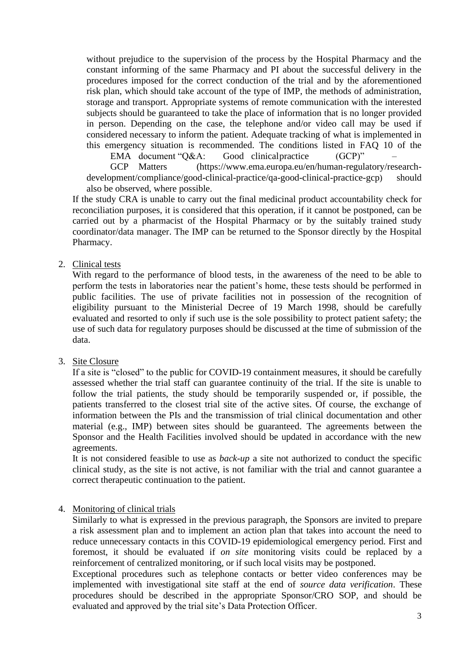without prejudice to the supervision of the process by the Hospital Pharmacy and the constant informing of the same Pharmacy and PI about the successful delivery in the procedures imposed for the correct conduction of the trial and by the aforementioned risk plan, which should take account of the type of IMP, the methods of administration, storage and transport. Appropriate systems of remote communication with the interested subjects should be guaranteed to take the place of information that is no longer provided in person. Depending on the case, the telephone and/or video call may be used if considered necessary to inform the patient. Adequate tracking of what is implemented in this emergency situation is recommended. The conditions listed in FAQ 10 of the

EMA document "Q&A: Good clinical practice (GCP)"

GCP Matters (https://www.ema.europa.eu/en/human-regulatory/research[development/compliance/good-clinical-practice/qa-good-clinical-practice-gcp](https://www.ema.europa.eu/en/human-regulatory/research-development/compliance/good-clinical-practice/qa-good-clinical-practice-gcp)) should also be observed, where possible.

If the study CRA is unable to carry out the final medicinal product accountability check for reconciliation purposes, it is considered that this operation, if it cannot be postponed, can be carried out by a pharmacist of the Hospital Pharmacy or by the suitably trained study coordinator/data manager. The IMP can be returned to the Sponsor directly by the Hospital Pharmacy.

2. Clinical tests

With regard to the performance of blood tests, in the awareness of the need to be able to perform the tests in laboratories near the patient's home, these tests should be performed in public facilities. The use of private facilities not in possession of the recognition of eligibility pursuant to the Ministerial Decree of 19 March 1998, should be carefully evaluated and resorted to only if such use is the sole possibility to protect patient safety; the use of such data for regulatory purposes should be discussed at the time of submission of the data.

3. Site Closure

If a site is "closed" to the public for COVID-19 containment measures, it should be carefully assessed whether the trial staff can guarantee continuity of the trial. If the site is unable to follow the trial patients, the study should be temporarily suspended or, if possible, the patients transferred to the closest trial site of the active sites. Of course, the exchange of information between the PIs and the transmission of trial clinical documentation and other material (e.g., IMP) between sites should be guaranteed. The agreements between the Sponsor and the Health Facilities involved should be updated in accordance with the new agreements.

It is not considered feasible to use as *back-up* a site not authorized to conduct the specific clinical study, as the site is not active, is not familiar with the trial and cannot guarantee a correct therapeutic continuation to the patient.

### 4. Monitoring of clinical trials

Similarly to what is expressed in the previous paragraph, the Sponsors are invited to prepare a risk assessment plan and to implement an action plan that takes into account the need to reduce unnecessary contacts in this COVID-19 epidemiological emergency period. First and foremost, it should be evaluated if *on site* monitoring visits could be replaced by a reinforcement of centralized monitoring, or if such local visits may be postponed.

Exceptional procedures such as telephone contacts or better video conferences may be implemented with investigational site staff at the end of *source data verification*. These procedures should be described in the appropriate Sponsor/CRO SOP, and should be evaluated and approved by the trial site's Data Protection Officer.